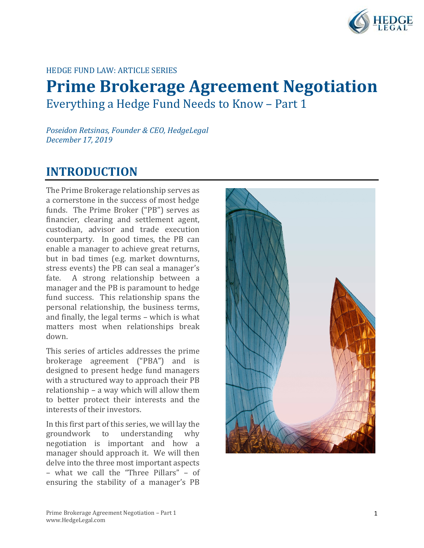

### HEDGE FUND LAW: ARTICLE SERIES

# **Prime Brokerage Agreement Negotiation** Everything a Hedge Fund Needs to Know – Part 1

*Poseidon Retsinas, Founder & CEO, HedgeLegal December 17, 2019*

# **INTRODUCTION**

The Prime Brokerage relationship serves as a cornerstone in the success of most hedge funds. The Prime Broker ("PB") serves as financier, clearing and settlement agent, custodian, advisor and trade execution counterparty. In good times, the PB can enable a manager to achieve great returns, but in bad times (e.g. market downturns, stress events) the PB can seal a manager's<br>fate. A strong relationship between a A strong relationship between a manager and the PB is paramount to hedge fund success. This relationship spans the personal relationship, the business terms, and finally, the legal terms – which is what matters most when relationships break down.

This series of articles addresses the prime brokerage agreement ("PBA") and is designed to present hedge fund managers with a structured way to approach their PB relationship – a way which will allow them to better protect their interests and the interests of their investors.

In this first part of this series, we will lay the groundwork to understanding why to understanding negotiation is important and how a manager should approach it. We will then delve into the three most important aspects – what we call the "Three Pillars" – of ensuring the stability of a manager's PB

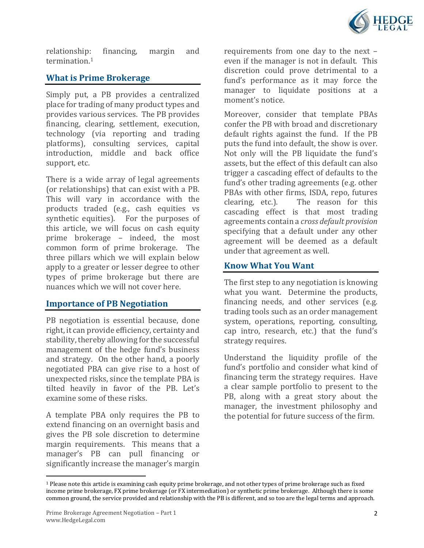

relationship: financing, margin and termination.[1](#page-1-0)

## **What is Prime Brokerage**

Simply put, a PB provides a centralized place for trading of many product types and provides various services. The PB provides financing, clearing, settlement, execution, technology (via reporting and trading platforms), consulting services, capital introduction, middle and back office support, etc.

There is a wide array of legal agreements (or relationships) that can exist with a PB. This will vary in accordance with the products traded (e.g., cash equities vs synthetic equities). For the purposes of this article, we will focus on cash equity prime brokerage – indeed, the most common form of prime brokerage. The three pillars which we will explain below apply to a greater or lesser degree to other types of prime brokerage but there are nuances which we will not cover here.

#### **Importance of PB Negotiation**

PB negotiation is essential because, done right, it can provide efficiency, certainty and stability, thereby allowing for the successful management of the hedge fund's business and strategy. On the other hand, a poorly negotiated PBA can give rise to a host of unexpected risks, since the template PBA is tilted heavily in favor of the PB. Let's examine some of these risks.

A template PBA only requires the PB to extend financing on an overnight basis and gives the PB sole discretion to determine margin requirements. This means that a manager's PB can pull financing or significantly increase the manager's margin requirements from one day to the next – even if the manager is not in default. This discretion could prove detrimental to a fund's performance as it may force the manager to liquidate positions at a moment's notice.

Moreover, consider that template PBAs confer the PB with broad and discretionary default rights against the fund. If the PB puts the fund into default, the show is over. Not only will the PB liquidate the fund's assets, but the effect of this default can also trigger a cascading effect of defaults to the fund's other trading agreements (e.g. other PBAs with other firms, ISDA, repo, futures clearing, etc.). The reason for this The reason for this cascading effect is that most trading agreements contain a *cross default provision* specifying that a default under any other agreement will be deemed as a default under that agreement as well.

### **Know What You Want**

The first step to any negotiation is knowing what you want. Determine the products, financing needs, and other services (e.g. trading tools such as an order management system, operations, reporting, consulting, cap intro, research, etc.) that the fund's strategy requires.

Understand the liquidity profile of the fund's portfolio and consider what kind of financing term the strategy requires. Have a clear sample portfolio to present to the PB, along with a great story about the manager, the investment philosophy and the potential for future success of the firm.

<span id="page-1-0"></span><sup>1</sup> Please note this article is examining cash equity prime brokerage, and not other types of prime brokerage such as fixed income prime brokerage, FX prime brokerage (or FX intermediation) or synthetic prime brokerage. Although there is some common ground, the service provided and relationship with the PB is different, and so too are the legal terms and approach.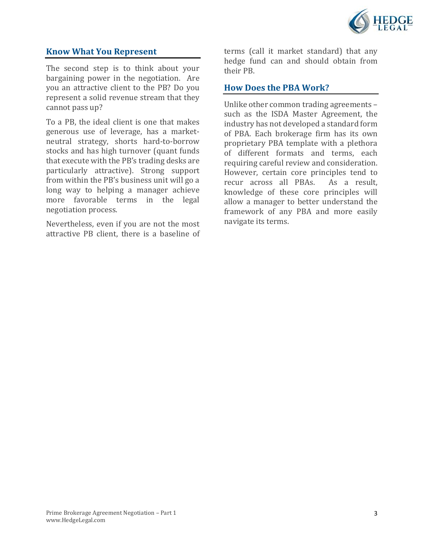

### **Know What You Represent**

The second step is to think about your bargaining power in the negotiation. Are you an attractive client to the PB? Do you represent a solid revenue stream that they cannot pass up?

To a PB, the ideal client is one that makes generous use of leverage, has a marketneutral strategy, shorts hard-to-borrow stocks and has high turnover (quant funds that execute with the PB's trading desks are particularly attractive). Strong support from within the PB's business unit will go a long way to helping a manager achieve more favorable terms in the legal negotiation process.

Nevertheless, even if you are not the most attractive PB client, there is a baseline of terms (call it market standard) that any hedge fund can and should obtain from their PB.

#### **How Does the PBA Work?**

Unlike other common trading agreements – such as the ISDA Master Agreement, the industry has not developed a standard form of PBA. Each brokerage firm has its own proprietary PBA template with a plethora of different formats and terms, each requiring careful review and consideration. However, certain core principles tend to<br>recur across all PBAs. As a result, recur across all PBAs. knowledge of these core principles will allow a manager to better understand the framework of any PBA and more easily navigate its terms.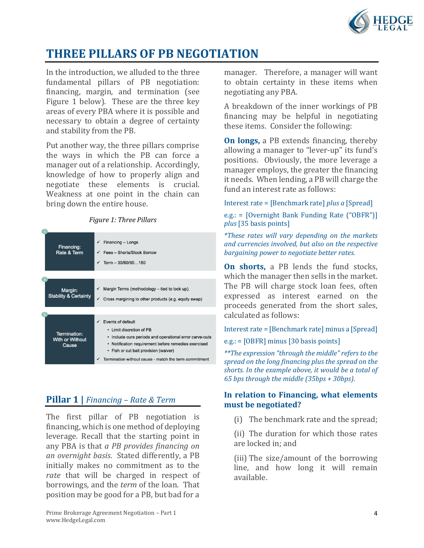

# **THREE PILLARS OF PB NEGOTIATION**

In the introduction, we alluded to the three fundamental pillars of PB negotiation: financing, margin, and termination (see Figure 1 below). These are the three key areas of every PBA where it is possible and necessary to obtain a degree of certainty and stability from the PB.

Put another way, the three pillars comprise the ways in which the PB can force a manager out of a relationship. Accordingly, knowledge of how to properly align and negotiate these elements is crucial. Weakness at one point in the chain can bring down the entire house.



| Financing:<br>Rate & Term                       | Financing - Longs<br>Fees - Shorts/Stock Borrow<br>Term $-30/60/90180$                                                                                                                                                                                                      |
|-------------------------------------------------|-----------------------------------------------------------------------------------------------------------------------------------------------------------------------------------------------------------------------------------------------------------------------------|
|                                                 |                                                                                                                                                                                                                                                                             |
| Margin:<br><b>Stability &amp; Certainty</b>     | Margin Terms (methodology - tied to lock up).<br>✓<br>Cross margining to other products (e.g. equity swap)<br>✓                                                                                                                                                             |
|                                                 |                                                                                                                                                                                                                                                                             |
| Termination:<br><b>With or Without</b><br>Cause | Events of default<br>• Limit discretion of PB<br>Include cure periods and operational error carve-outs<br>٠<br>Notification requirement before remedies exercised<br>٠<br>Fish or cut bait provision (waiver)<br>٠<br>Termination without cause - match the term commitment |

# **Pillar 1 |** *Financing – Rate & Term*

The first pillar of PB negotiation is financing, which is one method of deploying leverage. Recall that the starting point in any PBA is that *a PB provides financing on an overnight basis*. Stated differently, a PB initially makes no commitment as to the *rate* that will be charged in respect of borrowings, and the *term* of the loan. That position may be good for a PB, but bad for a

manager. Therefore, a manager will want to obtain certainty in these items when negotiating any PBA.

A breakdown of the inner workings of PB financing may be helpful in negotiating these items. Consider the following:

**On longs,** a PB extends financing, thereby allowing a manager to "lever-up" its fund's positions. Obviously, the more leverage a manager employs, the greater the financing it needs. When lending, a PB will charge the fund an interest rate as follows:

Interest rate = [Benchmark rate] *plus a* [Spread]

e.g.: = [Overnight Bank Funding Rate ("OBFR")] *plus* [35 basis points]

*\*These rates will vary depending on the markets and currencies involved, but also on the respective bargaining power to negotiate better rates.*

**On shorts,** a PB lends the fund stocks, which the manager then sells in the market. The PB will charge stock loan fees, often expressed as interest earned on the proceeds generated from the short sales, calculated as follows:

Interest rate = [Benchmark rate] minus a [Spread]

e.g.: = [OBFR] minus [30 basis points]

*\*\*The expression "through the middle" refers to the spread on the long financing plus the spread on the shorts. In the example above, it would be a total of 65 bps through the middle (35bps + 30bps).*

#### **In relation to Financing, what elements must be negotiated?**

(i) The benchmark rate and the spread;

(ii) The duration for which those rates are locked in; and

(iii) The size/amount of the borrowing line, and how long it will remain available.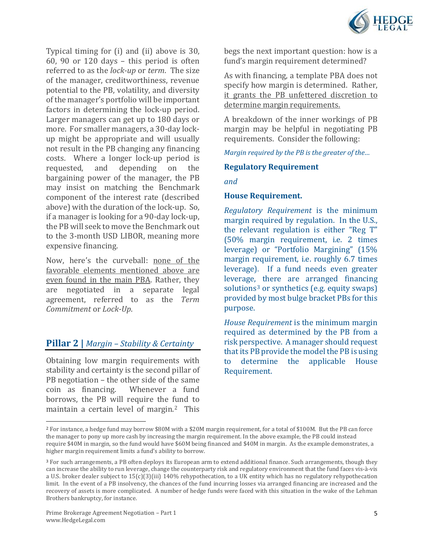

Typical timing for (i) and (ii) above is 30, 60, 90 or 120 days – this period is often referred to as the *lock-up* or *term*. The size of the manager, creditworthiness, revenue potential to the PB, volatility, and diversity of the manager's portfolio will be important factors in determining the lock-up period. Larger managers can get up to 180 days or more. For smaller managers, a 30-day lockup might be appropriate and will usually not result in the PB changing any financing costs. Where a longer lock-up period is<br>requested, and depending on the depending on the bargaining power of the manager, the PB may insist on matching the Benchmark component of the interest rate (described above) with the duration of the lock-up. So, if a manager is looking for a 90-day lock-up, the PB will seek to move the Benchmark out to the 3-month USD LIBOR, meaning more expensive financing.

Now, here's the curveball: none of the favorable elements mentioned above are even found in the main PBA. Rather, they are negotiated in a separate legal agreement, referred to as the *Term Commitment* or *Lock-Up*.

## **Pillar 2 |** *Margin – Stability & Certainty*

Obtaining low margin requirements with stability and certainty is the second pillar of PB negotiation – the other side of the same<br>coin as financing. Whenever a fund coin as financing. borrows, the PB will require the fund to maintain a certain level of margin.[2](#page-4-0) This

begs the next important question: how is a fund's margin requirement determined?

As with financing, a template PBA does not specify how margin is determined. Rather, it grants the PB unfettered discretion to determine margin requirements.

A breakdown of the inner workings of PB margin may be helpful in negotiating PB requirements. Consider the following:

*Margin required by the PB is the greater of the…*

#### **Regulatory Requirement**

*and* 

#### **House Requirement.**

*Regulatory Requirement* is the minimum margin required by regulation. In the U.S., the relevant regulation is either "Reg T" (50% margin requirement, i.e. 2 times leverage) or "Portfolio Margining" (15% margin requirement, i.e. roughly 6.7 times leverage). If a fund needs even greater leverage, there are arranged financing solutions<sup>[3](#page-4-1)</sup> or synthetics (e.g. equity swaps) provided by most bulge bracket PBs for this purpose.

*House Requirement* is the minimum margin required as determined by the PB from a risk perspective. A manager should request that its PB provide the model the PB is using to determine the applicable House Requirement.

<span id="page-4-0"></span><sup>2</sup> For instance, a hedge fund may borrow \$80M with a \$20M margin requirement, for a total of \$100M. But the PB can force the manager to pony up more cash by increasing the margin requirement. In the above example, the PB could instead require \$40M in margin, so the fund would have \$60M being financed and \$40M in margin. As the example demonstrates, a higher margin requirement limits a fund's ability to borrow.

<span id="page-4-1"></span><sup>3</sup> For such arrangements, a PB often deploys its European arm to extend additional finance. Such arrangements, though they can increase the ability to run leverage, change the counterparty risk and regulatory environment that the fund faces vis-à-vis a U.S. broker dealer subject to 15(c)(3)(iii) 140% rehypothecation, to a UK entity which has no regulatory rehypothecation limit. In the event of a PB insolvency, the chances of the fund incurring losses via arranged financing are increased and the recovery of assets is more complicated. A number of hedge funds were faced with this situation in the wake of the Lehman Brothers bankruptcy, for instance.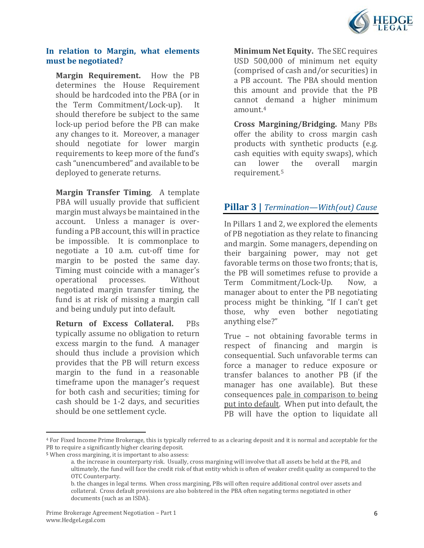

#### **In relation to Margin, what elements must be negotiated?**

**Margin Requirement.** How the PB determines the House Requirement should be hardcoded into the PBA (or in<br>the Term Commitment/Lock-up). It the Term Commitment/Lock-up). should therefore be subject to the same lock-up period before the PB can make any changes to it. Moreover, a manager should negotiate for lower margin requirements to keep more of the fund's cash "unencumbered" and available to be deployed to generate returns.

**Margin Transfer Timing**. A template PBA will usually provide that sufficient margin must always be maintained in the account. Unless a manager is overfunding a PB account, this will in practice be impossible. It is commonplace to negotiate a 10 a.m. cut-off time for margin to be posted the same day. Timing must coincide with a manager's<br>operational processes. Without operational negotiated margin transfer timing, the fund is at risk of missing a margin call and being unduly put into default.

**Return of Excess Collateral.** PBs typically assume no obligation to return excess margin to the fund. A manager should thus include a provision which provides that the PB will return excess margin to the fund in a reasonable timeframe upon the manager's request for both cash and securities; timing for cash should be 1-2 days, and securities should be one settlement cycle.

**Minimum Net Equity.** The SEC requires USD 500,000 of minimum net equity (comprised of cash and/or securities) in a PB account. The PBA should mention this amount and provide that the PB cannot demand a higher minimum amount.[4](#page-5-0) 

**Cross Margining/Bridging.** Many PBs offer the ability to cross margin cash products with synthetic products (e.g. cash equities with equity swaps), which<br>can lower the overall margin margin requirement.[5](#page-5-1)

# **Pillar 3 |** *Termination—With(out) Cause*

In Pillars 1 and 2, we explored the elements of PB negotiation as they relate to financing and margin. Some managers, depending on their bargaining power, may not get favorable terms on those two fronts; that is, the PB will sometimes refuse to provide a<br>Term Commitment/Lock-Up. Now. a Term Commitment/Lock-Up. manager about to enter the PB negotiating process might be thinking, "If I can't get those, why even bother negotiating anything else?"

True – not obtaining favorable terms in respect of financing and margin is consequential. Such unfavorable terms can force a manager to reduce exposure or transfer balances to another PB (if the manager has one available). But these consequences pale in comparison to being put into default. When put into default, the PB will have the option to liquidate all

<span id="page-5-0"></span><sup>4</sup> For Fixed Income Prime Brokerage, this is typically referred to as a clearing deposit and it is normal and acceptable for the PB to require a significantly higher clearing deposit.

<span id="page-5-1"></span><sup>5</sup> When cross margining, it is important to also assess:

a. the increase in counterparty risk. Usually, cross margining will involve that all assets be held at the PB, and ultimately, the fund will face the credit risk of that entity which is often of weaker credit quality as compared to the OTC Counterparty.

b. the changes in legal terms. When cross margining, PBs will often require additional control over assets and collateral. Cross default provisions are also bolstered in the PBA often negating terms negotiated in other documents (such as an ISDA).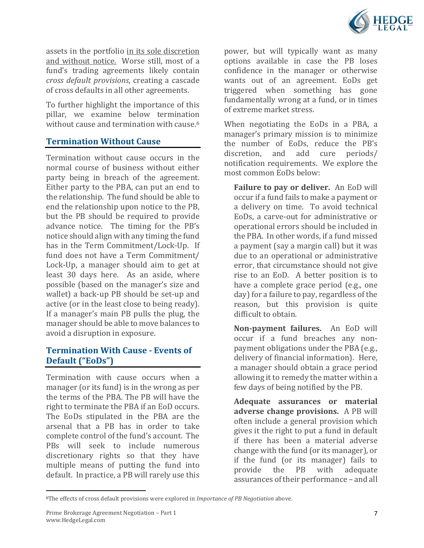

assets in the portfolio in its sole discretion and without notice. Worse still, most of a fund's trading agreements likely contain *cross default provisions*, creating a cascade of cross defaults in all other agreements.

To further highlight the importance of this pillar, we examine below termination without cause and termination with cause.<sup>[6](#page-6-0)</sup>

### **Termination Without Cause**

Termination without cause occurs in the normal course of business without either party being in breach of the agreement. Either party to the PBA, can put an end to the relationship. The fund should be able to end the relationship upon notice to the PB, but the PB should be required to provide advance notice. The timing for the PB's notice should align with any timing the fund has in the Term Commitment/Lock-Up. If fund does not have a Term Commitment/ Lock-Up, a manager should aim to get at least 30 days here. As an aside, where possible (based on the manager's size and wallet) a back-up PB should be set-up and active (or in the least close to being ready). If a manager's main PB pulls the plug, the manager should be able to move balances to avoid a disruption in exposure.

## **Termination With Cause - Events of Default ("EoDs")**

Termination with cause occurs when a manager (or its fund) is in the wrong as per the terms of the PBA. The PB will have the right to terminate the PBA if an EoD occurs. The EoDs stipulated in the PBA are the arsenal that a PB has in order to take complete control of the fund's account. The PBs will seek to include numerous discretionary rights so that they have multiple means of putting the fund into default. In practice, a PB will rarely use this

power, but will typically want as many options available in case the PB loses confidence in the manager or otherwise wants out of an agreement. EoDs get triggered when something has gone fundamentally wrong at a fund, or in times of extreme market stress.

When negotiating the EoDs in a PBA, a manager's primary mission is to minimize the number of EoDs, reduce the PB's<br>discretion, and add cure periods/ discretion. and add cure notification requirements. We explore the most common EoDs below:

**Failure to pay or deliver.** An EoD will occur if a fund fails to make a payment or a delivery on time. To avoid technical EoDs, a carve-out for administrative or operational errors should be included in the PBA. In other words, if a fund missed a payment (say a margin call) but it was due to an operational or administrative error, that circumstance should not give rise to an EoD. A better position is to have a complete grace period (e.g., one day) for a failure to pay, regardless of the reason, but this provision is quite difficult to obtain.

**Non-payment failures.** An EoD will occur if a fund breaches any nonpayment obligations under the PBA (e.g., delivery of financial information). Here, a manager should obtain a grace period allowing it to remedy the matter within a few days of being notified by the PB.

**Adequate assurances or material adverse change provisions.** A PB will often include a general provision which gives it the right to put a fund in default if there has been a material adverse change with the fund (or its manager), or if the fund (or its manager) fails to provide the PB with adequate assurances of their performance – and all

<span id="page-6-0"></span><sup>6</sup>The effects of cross default provisions were explored in *Importance of PB Negotiation* above.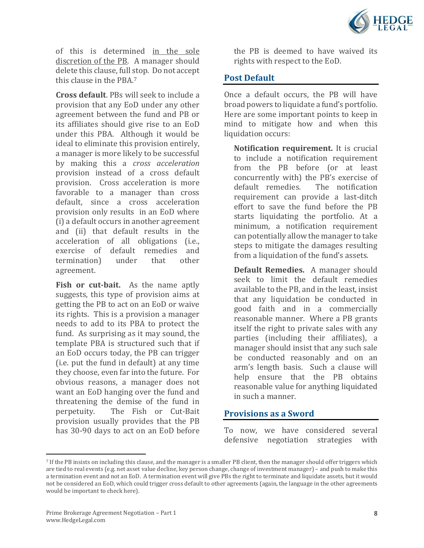

of this is determined in the sole discretion of the PB. A manager should delete this clause, full stop. Do not accept this clause in the PBA.[7](#page-7-0)

**Cross default**. PBs will seek to include a provision that any EoD under any other agreement between the fund and PB or its affiliates should give rise to an EoD under this PBA. Although it would be ideal to eliminate this provision entirely, a manager is more likely to be successful by making this a *cross acceleration*  provision instead of a cross default provision. Cross acceleration is more favorable to a manager than cross default, since a cross acceleration provision only results in an EoD where (i) a default occurs in another agreement and (ii) that default results in the acceleration of all obligations (i.e., exercise of default remedies and<br>termination) under that other termination) agreement.

**Fish or cut-bait.** As the name aptly suggests, this type of provision aims at getting the PB to act on an EoD or waive its rights. This is a provision a manager needs to add to its PBA to protect the fund. As surprising as it may sound, the template PBA is structured such that if an EoD occurs today, the PB can trigger (i.e. put the fund in default) at any time they choose, even far into the future. For obvious reasons, a manager does not want an EoD hanging over the fund and threatening the demise of the fund in<br>perpetuity. The Fish or Cut-Bait The Fish or Cut-Bait provision usually provides that the PB has 30-90 days to act on an EoD before

the PB is deemed to have waived its rights with respect to the EoD.

### **Post Default**

Once a default occurs, the PB will have broad powers to liquidate a fund's portfolio. Here are some important points to keep in mind to mitigate how and when this liquidation occurs:

**Notification requirement.** It is crucial to include a notification requirement from the PB before (or at least concurrently with) the PB's exercise of default remedies. requirement can provide a last-ditch effort to save the fund before the PB starts liquidating the portfolio. At a minimum, a notification requirement can potentially allow the manager to take steps to mitigate the damages resulting from a liquidation of the fund's assets.

**Default Remedies.** A manager should seek to limit the default remedies available to the PB, and in the least, insist that any liquidation be conducted in good faith and in a commercially reasonable manner. Where a PB grants itself the right to private sales with any parties (including their affiliates), a manager should insist that any such sale be conducted reasonably and on an arm's length basis. Such a clause will help ensure that the PB obtains reasonable value for anything liquidated in such a manner.

#### **Provisions as a Sword**

To now, we have considered several defensive negotiation strategies with

<span id="page-7-0"></span><sup>7</sup> If the PB insists on including this clause, and the manager is a smaller PB client, then the manager should offer triggers which are tied to real events (e.g. net asset value decline, key person change, change of investment manager) – and push to make this a termination event and not an EoD. A termination event will give PBs the right to terminate and liquidate assets, but it would not be considered an EoD, which could trigger cross default to other agreements (again, the language in the other agreements would be important to check here).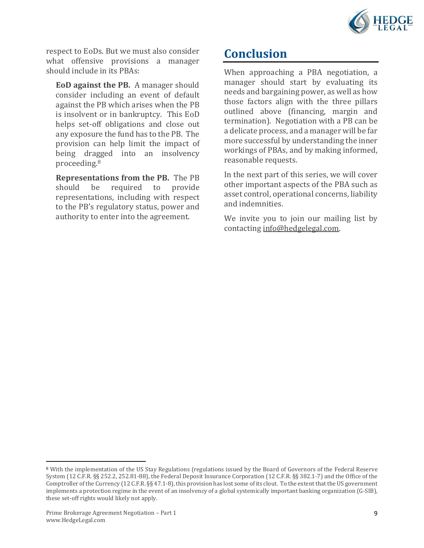

respect to EoDs. But we must also consider what offensive provisions a manager should include in its PBAs:

**EoD against the PB.** A manager should consider including an event of default against the PB which arises when the PB is insolvent or in bankruptcy. This EoD helps set-off obligations and close out any exposure the fund has to the PB. The provision can help limit the impact of being dragged into an insolvency proceeding.[8](#page-8-0)

**Representations from the PB.** The PB should be required to provide required representations, including with respect to the PB's regulatory status, power and authority to enter into the agreement.

# **Conclusion**

When approaching a PBA negotiation, a manager should start by evaluating its needs and bargaining power, as well as how those factors align with the three pillars outlined above (financing, margin and termination). Negotiation with a PB can be a delicate process, and a manager will be far more successful by understanding the inner workings of PBAs, and by making informed, reasonable requests.

In the next part of this series, we will cover other important aspects of the PBA such as asset control, operational concerns, liability and indemnities.

We invite you to join our mailing list by contacting [info@hedgelegal.com.](mailto:info@hedgelegal.com)

<span id="page-8-0"></span><sup>8</sup> With the implementation of the US Stay Regulations (regulations issued by the Board of Governors of the Federal Reserve System (12 C.F.R. §§ 252.2, 252.81-88), the Federal Deposit Insurance Corporation (12 C.F.R. §§ 382.1-7) and the Office of the Comptroller of the Currency (12 C.F.R. §§ 47.1-8), this provision has lost some of its clout. To the extent that the US government implements a protection regime in the event of an insolvency of a global systemically important banking organization (G-SIB), these set-off rights would likely not apply.